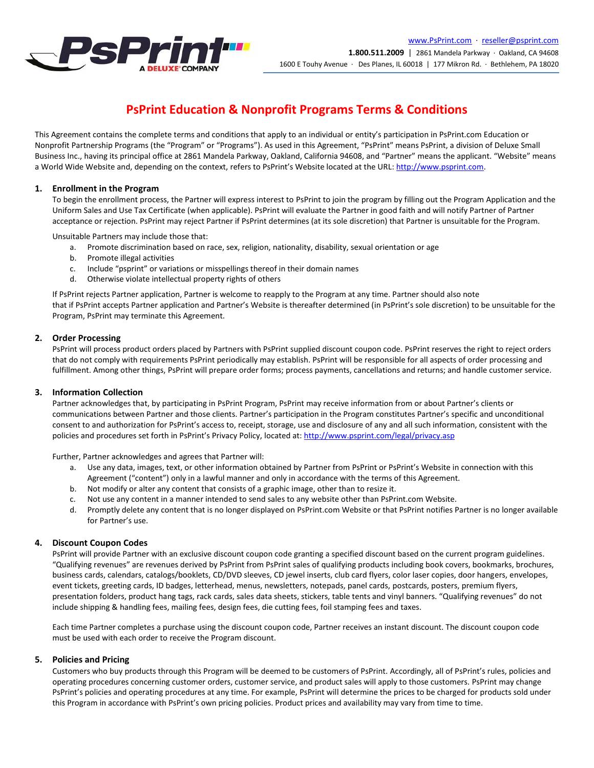

# **PsPrint Education & Nonprofit Programs Terms & Conditions**

This Agreement contains the complete terms and conditions that apply to an individual or entity's participation in PsPrint.com Education or Nonprofit Partnership Programs (the "Program" or "Programs"). As used in this Agreement, "PsPrint" means PsPrint, a division of Deluxe Small Business Inc., having its principal office at 2861 Mandela Parkway, Oakland, California 94608, and "Partner" means the applicant. "Website" means a World Wide Website and, depending on the context, refers to PsPrint's Website located at the URL[: http://www.psprint.com.](http://www.psprint.com/)

# **1. Enrollment in the Program**

To begin the enrollment process, the Partner will express interest to PsPrint to join the program by filling out the Program Application and the Uniform Sales and Use Tax Certificate (when applicable). PsPrint will evaluate the Partner in good faith and will notify Partner of Partner acceptance or rejection. PsPrint may reject Partner if PsPrint determines (at its sole discretion) that Partner is unsuitable for the Program.

Unsuitable Partners may include those that:

- a. Promote discrimination based on race, sex, religion, nationality, disability, sexual orientation or age
- b. Promote illegal activities
- c. Include "psprint" or variations or misspellings thereof in their domain names
- d. Otherwise violate intellectual property rights of others

If PsPrint rejects Partner application, Partner is welcome to reapply to the Program at any time. Partner should also note that if PsPrint accepts Partner application and Partner's Website is thereafter determined (in PsPrint's sole discretion) to be unsuitable for the Program, PsPrint may terminate this Agreement.

# **2. Order Processing**

PsPrint will process product orders placed by Partners with PsPrint supplied discount coupon code. PsPrint reserves the right to reject orders that do not comply with requirements PsPrint periodically may establish. PsPrint will be responsible for all aspects of order processing and fulfillment. Among other things, PsPrint will prepare order forms; process payments, cancellations and returns; and handle customer service.

# **3. Information Collection**

Partner acknowledges that, by participating in PsPrint Program, PsPrint may receive information from or about Partner's clients or communications between Partner and those clients. Partner's participation in the Program constitutes Partner's specific and unconditional consent to and authorization for PsPrint's access to, receipt, storage, use and disclosure of any and all such information, consistent with the policies and procedures set forth in PsPrint's Privacy Policy, located at: <http://www.psprint.com/legal/privacy.asp>

Further, Partner acknowledges and agrees that Partner will:

- a. Use any data, images, text, or other information obtained by Partner from PsPrint or PsPrint's Website in connection with this Agreement ("content") only in a lawful manner and only in accordance with the terms of this Agreement.
- b. Not modify or alter any content that consists of a graphic image, other than to resize it.
- c. Not use any content in a manner intended to send sales to any website other than PsPrint.com Website.
- d. Promptly delete any content that is no longer displayed on PsPrint.com Website or that PsPrint notifies Partner is no longer available for Partner's use.

# **4. Discount Coupon Codes**

PsPrint will provide Partner with an exclusive discount coupon code granting a specified discount based on the current program guidelines. "Qualifying revenues" are revenues derived by PsPrint from PsPrint sales of qualifying products including book covers, bookmarks, brochures, business cards, calendars, catalogs/booklets, CD/DVD sleeves, CD jewel inserts, club card flyers, color laser copies, door hangers, envelopes, event tickets, greeting cards, ID badges, letterhead, menus, newsletters, notepads, panel cards, postcards, posters, premium flyers, presentation folders, product hang tags, rack cards, sales data sheets, stickers, table tents and vinyl banners. "Qualifying revenues" do not include shipping & handling fees, mailing fees, design fees, die cutting fees, foil stamping fees and taxes.

Each time Partner completes a purchase using the discount coupon code, Partner receives an instant discount. The discount coupon code must be used with each order to receive the Program discount.

# **5. Policies and Pricing**

Customers who buy products through this Program will be deemed to be customers of PsPrint. Accordingly, all of PsPrint's rules, policies and operating procedures concerning customer orders, customer service, and product sales will apply to those customers. PsPrint may change PsPrint's policies and operating procedures at any time. For example, PsPrint will determine the prices to be charged for products sold under this Program in accordance with PsPrint's own pricing policies. Product prices and availability may vary from time to time.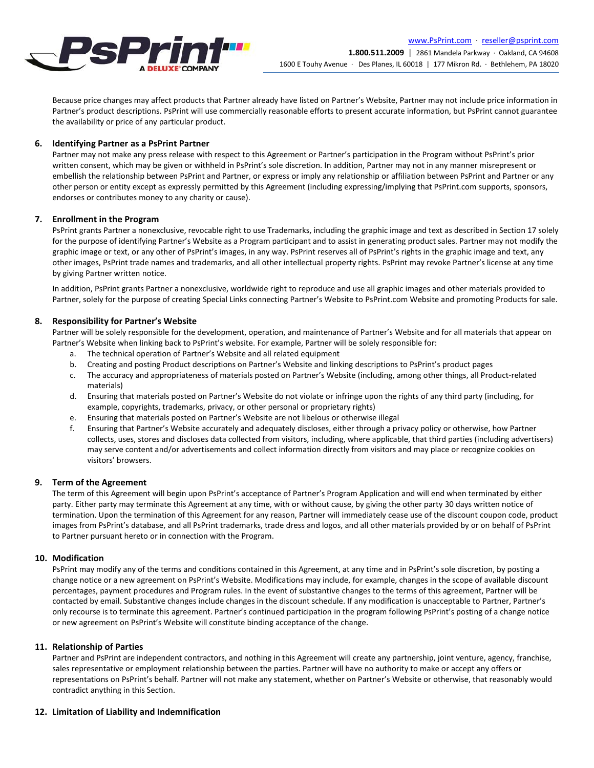

Because price changes may affect products that Partner already have listed on Partner's Website, Partner may not include price information in Partner's product descriptions. PsPrint will use commercially reasonable efforts to present accurate information, but PsPrint cannot guarantee the availability or price of any particular product.

### **6. Identifying Partner as a PsPrint Partner**

Partner may not make any press release with respect to this Agreement or Partner's participation in the Program without PsPrint's prior written consent, which may be given or withheld in PsPrint's sole discretion. In addition, Partner may not in any manner misrepresent or embellish the relationship between PsPrint and Partner, or express or imply any relationship or affiliation between PsPrint and Partner or any other person or entity except as expressly permitted by this Agreement (including expressing/implying that PsPrint.com supports, sponsors, endorses or contributes money to any charity or cause).

#### **7. Enrollment in the Program**

PsPrint grants Partner a nonexclusive, revocable right to use Trademarks, including the graphic image and text as described in Section 17 solely for the purpose of identifying Partner's Website as a Program participant and to assist in generating product sales. Partner may not modify the graphic image or text, or any other of PsPrint's images, in any way. PsPrint reserves all of PsPrint's rights in the graphic image and text, any other images, PsPrint trade names and trademarks, and all other intellectual property rights. PsPrint may revoke Partner's license at any time by giving Partner written notice.

In addition, PsPrint grants Partner a nonexclusive, worldwide right to reproduce and use all graphic images and other materials provided to Partner, solely for the purpose of creating Special Links connecting Partner's Website to PsPrint.com Website and promoting Products for sale.

#### **8. Responsibility for Partner's Website**

Partner will be solely responsible for the development, operation, and maintenance of Partner's Website and for all materials that appear on Partner's Website when linking back to PsPrint's website. For example, Partner will be solely responsible for:

- a. The technical operation of Partner's Website and all related equipment
- b. Creating and posting Product descriptions on Partner's Website and linking descriptions to PsPrint's product pages
- c. The accuracy and appropriateness of materials posted on Partner's Website (including, among other things, all Product-related materials)
- d. Ensuring that materials posted on Partner's Website do not violate or infringe upon the rights of any third party (including, for example, copyrights, trademarks, privacy, or other personal or proprietary rights)
- e. Ensuring that materials posted on Partner's Website are not libelous or otherwise illegal
- f. Ensuring that Partner's Website accurately and adequately discloses, either through a privacy policy or otherwise, how Partner collects, uses, stores and discloses data collected from visitors, including, where applicable, that third parties (including advertisers) may serve content and/or advertisements and collect information directly from visitors and may place or recognize cookies on visitors' browsers.

# **9. Term of the Agreement**

The term of this Agreement will begin upon PsPrint's acceptance of Partner's Program Application and will end when terminated by either party. Either party may terminate this Agreement at any time, with or without cause, by giving the other party 30 days written notice of termination. Upon the termination of this Agreement for any reason, Partner will immediately cease use of the discount coupon code, product images from PsPrint's database, and all PsPrint trademarks, trade dress and logos, and all other materials provided by or on behalf of PsPrint to Partner pursuant hereto or in connection with the Program.

#### **10. Modification**

PsPrint may modify any of the terms and conditions contained in this Agreement, at any time and in PsPrint's sole discretion, by posting a change notice or a new agreement on PsPrint's Website. Modifications may include, for example, changes in the scope of available discount percentages, payment procedures and Program rules. In the event of substantive changes to the terms of this agreement, Partner will be contacted by email. Substantive changes include changes in the discount schedule. If any modification is unacceptable to Partner, Partner's only recourse is to terminate this agreement. Partner's continued participation in the program following PsPrint's posting of a change notice or new agreement on PsPrint's Website will constitute binding acceptance of the change.

#### **11. Relationship of Parties**

Partner and PsPrint are independent contractors, and nothing in this Agreement will create any partnership, joint venture, agency, franchise, sales representative or employment relationship between the parties. Partner will have no authority to make or accept any offers or representations on PsPrint's behalf. Partner will not make any statement, whether on Partner's Website or otherwise, that reasonably would contradict anything in this Section.

# **12. Limitation of Liability and Indemnification**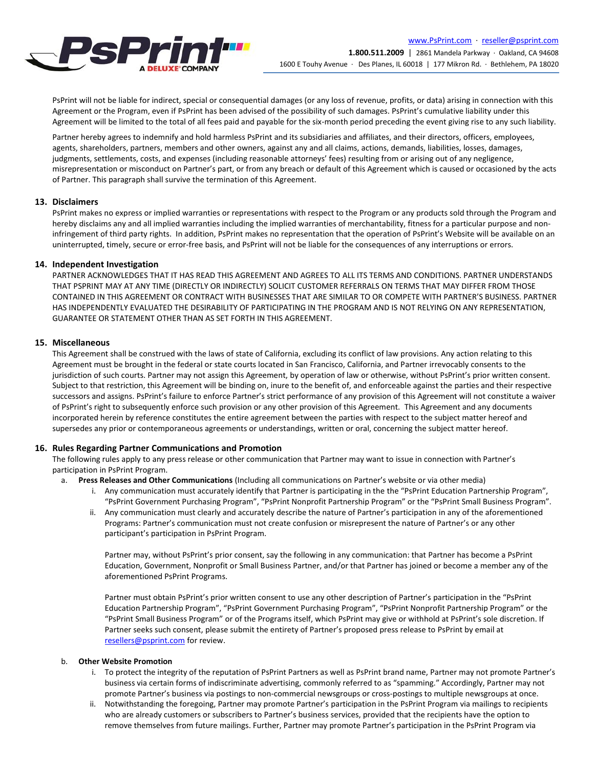

PsPrint will not be liable for indirect, special or consequential damages (or any loss of revenue, profits, or data) arising in connection with this Agreement or the Program, even if PsPrint has been advised of the possibility of such damages. PsPrint's cumulative liability under this Agreement will be limited to the total of all fees paid and payable for the six-month period preceding the event giving rise to any such liability.

Partner hereby agrees to indemnify and hold harmless PsPrint and its subsidiaries and affiliates, and their directors, officers, employees, agents, shareholders, partners, members and other owners, against any and all claims, actions, demands, liabilities, losses, damages, judgments, settlements, costs, and expenses (including reasonable attorneys' fees) resulting from or arising out of any negligence, misrepresentation or misconduct on Partner's part, or from any breach or default of this Agreement which is caused or occasioned by the acts of Partner. This paragraph shall survive the termination of this Agreement.

# **13. Disclaimers**

PsPrint makes no express or implied warranties or representations with respect to the Program or any products sold through the Program and hereby disclaims any and all implied warranties including the implied warranties of merchantability, fitness for a particular purpose and noninfringement of third party rights. In addition, PsPrint makes no representation that the operation of PsPrint's Website will be available on an uninterrupted, timely, secure or error-free basis, and PsPrint will not be liable for the consequences of any interruptions or errors.

#### **14. Independent Investigation**

PARTNER ACKNOWLEDGES THAT IT HAS READ THIS AGREEMENT AND AGREES TO ALL ITS TERMS AND CONDITIONS. PARTNER UNDERSTANDS THAT PSPRINT MAY AT ANY TIME (DIRECTLY OR INDIRECTLY) SOLICIT CUSTOMER REFERRALS ON TERMS THAT MAY DIFFER FROM THOSE CONTAINED IN THIS AGREEMENT OR CONTRACT WITH BUSINESSES THAT ARE SIMILAR TO OR COMPETE WITH PARTNER'S BUSINESS. PARTNER HAS INDEPENDENTLY EVALUATED THE DESIRABILITY OF PARTICIPATING IN THE PROGRAM AND IS NOT RELYING ON ANY REPRESENTATION, GUARANTEE OR STATEMENT OTHER THAN AS SET FORTH IN THIS AGREEMENT.

#### **15. Miscellaneous**

This Agreement shall be construed with the laws of state of California, excluding its conflict of law provisions. Any action relating to this Agreement must be brought in the federal or state courts located in San Francisco, California, and Partner irrevocably consents to the jurisdiction of such courts. Partner may not assign this Agreement, by operation of law or otherwise, without PsPrint's prior written consent. Subject to that restriction, this Agreement will be binding on, inure to the benefit of, and enforceable against the parties and their respective successors and assigns. PsPrint's failure to enforce Partner's strict performance of any provision of this Agreement will not constitute a waiver of PsPrint's right to subsequently enforce such provision or any other provision of this Agreement. This Agreement and any documents incorporated herein by reference constitutes the entire agreement between the parties with respect to the subject matter hereof and supersedes any prior or contemporaneous agreements or understandings, written or oral, concerning the subject matter hereof.

#### **16. Rules Regarding Partner Communications and Promotion**

The following rules apply to any press release or other communication that Partner may want to issue in connection with Partner's participation in PsPrint Program.

- a. **Press Releases and Other Communications** (Including all communications on Partner's website or via other media)
	- i. Any communication must accurately identify that Partner is participating in the the "PsPrint Education Partnership Program", "PsPrint Government Purchasing Program", "PsPrint Nonprofit Partnership Program" or the "PsPrint Small Business Program".
	- ii. Any communication must clearly and accurately describe the nature of Partner's participation in any of the aforementioned Programs: Partner's communication must not create confusion or misrepresent the nature of Partner's or any other participant's participation in PsPrint Program.

Partner may, without PsPrint's prior consent, say the following in any communication: that Partner has become a PsPrint Education, Government, Nonprofit or Small Business Partner, and/or that Partner has joined or become a member any of the aforementioned PsPrint Programs.

Partner must obtain PsPrint's prior written consent to use any other description of Partner's participation in the "PsPrint Education Partnership Program", "PsPrint Government Purchasing Program", "PsPrint Nonprofit Partnership Program" or the "PsPrint Small Business Program" or of the Programs itself, which PsPrint may give or withhold at PsPrint's sole discretion. If Partner seeks such consent, please submit the entirety of Partner's proposed press release to PsPrint by email at [resellers@psprint.com](mailto:resellers@psprint.com) for review.

#### b. **Other Website Promotion**

- i. To protect the integrity of the reputation of PsPrint Partners as well as PsPrint brand name, Partner may not promote Partner's business via certain forms of indiscriminate advertising, commonly referred to as "spamming." Accordingly, Partner may not promote Partner's business via postings to non-commercial newsgroups or cross-postings to multiple newsgroups at once.
- ii. Notwithstanding the foregoing, Partner may promote Partner's participation in the PsPrint Program via mailings to recipients who are already customers or subscribers to Partner's business services, provided that the recipients have the option to remove themselves from future mailings. Further, Partner may promote Partner's participation in the PsPrint Program via